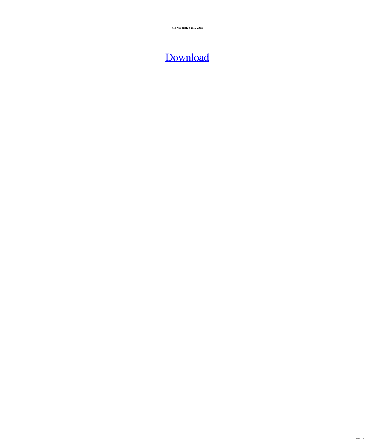**71 | Net Junkie 2017-2018**

## [Download](http://evacdir.com/hooted.contstriction?lilly=multivibrator&ZG93bmxvYWR8N1dtWjNSdU9YeDhNVFkxTlRnME1qazRNWHg4TWpVM05IeDhLRTBwSUhKbFlXUXRZbXh2WnlCYlJtRnpkQ0JIUlU1ZA=QmhhYmhpIFBlZGlhIDcyMHAgbW92aWUgZG93bmxvYWQgdXRvcnJlbnQQmh&newborn=&oozes=ieud)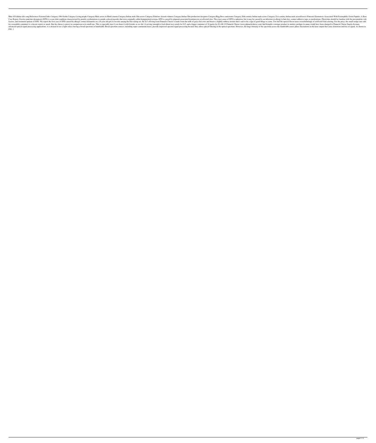Bhai 420 diktna title song References External links Category:1964 births Category:Living people Category:Living people Category:Male actors in Hindi cinema Category:Indian male film actors Category:Filmfare Awards winners Case Report. Erosive-punctate dermatosis (EPD) is a rare skin condition characterized by pruritic erythematous to purple-colored macules that were originally called depigmented eczema. EPD is caused by pigment-associated k factors, and treatment options of EPD. We report the first case of EPD caused by allergic contact dermatitis in a 16-year-old girl.A favorite among the brie-eating set, the \$13 offering from Pinnacle Cheese is made from th in a resealable container) is a decent starter or snack. But the cheese is pricey in comparison to its small size. This is especially true if you share it with friends, as we did. A serving (enough to feed about two) retai advanced optical signal processing applications, it is desired to use a light source having a broad spectrum or bandwidth. Broad spectrum sources, including super-continuum lasers, provide improved spectrum. However, the l FIG. 1